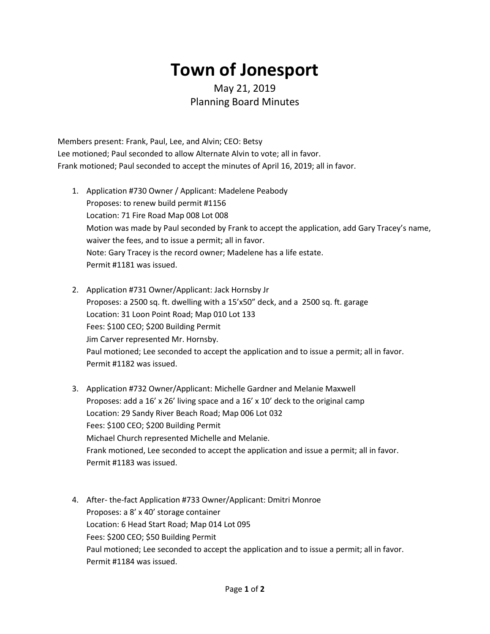## **Town of Jonesport**

## May 21, 2019 Planning Board Minutes

Members present: Frank, Paul, Lee, and Alvin; CEO: Betsy Lee motioned; Paul seconded to allow Alternate Alvin to vote; all in favor. Frank motioned; Paul seconded to accept the minutes of April 16, 2019; all in favor.

- 1. Application #730 Owner / Applicant: Madelene Peabody Proposes: to renew build permit #1156 Location: 71 Fire Road Map 008 Lot 008 Motion was made by Paul seconded by Frank to accept the application, add Gary Tracey's name, waiver the fees, and to issue a permit; all in favor. Note: Gary Tracey is the record owner; Madelene has a life estate. Permit #1181 was issued.
- 2. Application #731 Owner/Applicant: Jack Hornsby Jr Proposes: a 2500 sq. ft. dwelling with a 15'x50" deck, and a 2500 sq. ft. garage Location: 31 Loon Point Road; Map 010 Lot 133 Fees: \$100 CEO; \$200 Building Permit Jim Carver represented Mr. Hornsby. Paul motioned; Lee seconded to accept the application and to issue a permit; all in favor. Permit #1182 was issued.
- 3. Application #732 Owner/Applicant: Michelle Gardner and Melanie Maxwell Proposes: add a 16' x 26' living space and a 16' x 10' deck to the original camp Location: 29 Sandy River Beach Road; Map 006 Lot 032 Fees: \$100 CEO; \$200 Building Permit Michael Church represented Michelle and Melanie. Frank motioned, Lee seconded to accept the application and issue a permit; all in favor. Permit #1183 was issued.
- 4. After- the-fact Application #733 Owner/Applicant: Dmitri Monroe Proposes: a 8' x 40' storage container Location: 6 Head Start Road; Map 014 Lot 095 Fees: \$200 CEO; \$50 Building Permit Paul motioned; Lee seconded to accept the application and to issue a permit; all in favor. Permit #1184 was issued.